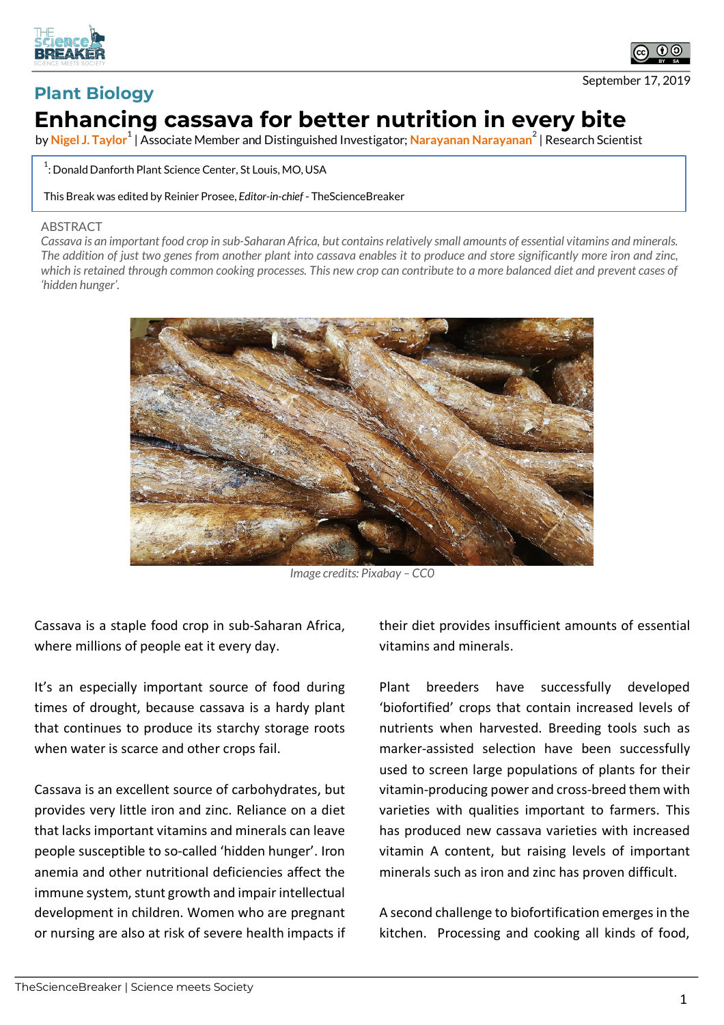



September 17, 2019

## **Plant Biology Enhancing cassava for better nutrition in every bite**

by Nigel J. Taylor<sup>1</sup> | Associate Member and Distinguished Investigator; Narayanan Narayanan<sup>2</sup> | Research Scientist

 $^1$ : Donald Danforth Plant Science Center, St Louis, MO, USA

This Break was edited by Reinier Prosee, *Editor-in-chief* - TheScienceBreaker

## **ABSTRACT**

*Cassava is an important food crop in sub-Saharan Africa, but contains relatively small amounts of essential vitamins and minerals. The addition of just two genes from another plant into cassava enables it to produce and store significantly more iron and zinc, which is retained through common cooking processes. This new crop can contribute to a more balanced diet and prevent cases of 'hidden hunger'.*



*Image credits: Pixabay – CC0*

Cassava is a staple food crop in sub-Saharan Africa, where millions of people eat it every day.

It's an especially important source of food during times of drought, because cassava is a hardy plant that continues to produce its starchy storage roots when water is scarce and other crops fail.

Cassava is an excellent source of carbohydrates, but provides very little iron and zinc. Reliance on a diet that lacks important vitamins and minerals can leave people susceptible to so-called 'hidden hunger'. Iron anemia and other nutritional deficiencies affect the immune system, stunt growth and impair intellectual development in children. Women who are pregnant or nursing are also at risk of severe health impacts if their diet provides insufficient amounts of essential vitamins and minerals.

Plant breeders have successfully developed 'biofortified' crops that contain increased levels of nutrients when harvested. Breeding tools such as marker-assisted selection have been successfully used to screen large populations of plants for their vitamin-producing power and cross-breed them with varieties with qualities important to farmers. This has produced new cassava varieties with increased vitamin A content, but raising levels of important minerals such as iron and zinc has proven difficult.

A second challenge to biofortification emerges in the kitchen. Processing and cooking all kinds of food,